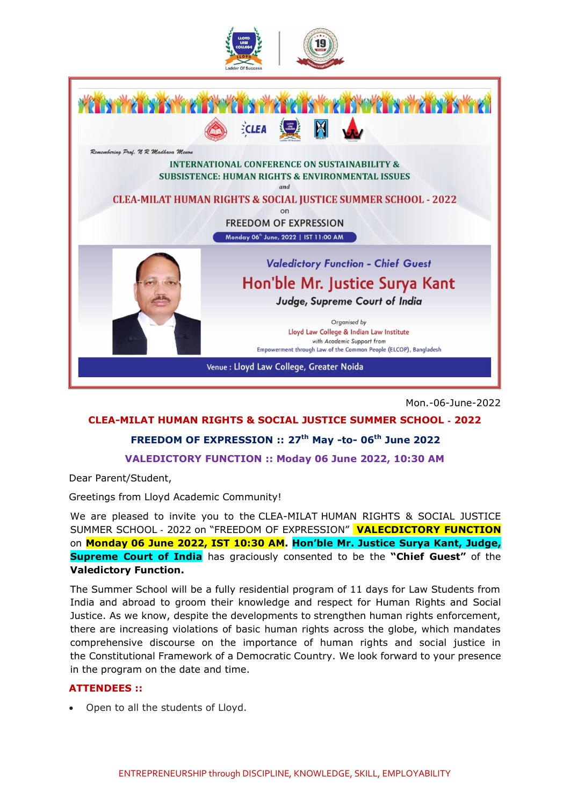



Mon.-06-June-2022

# **CLEA-MILAT HUMAN RIGHTS & SOCIAL JUSTICE SUMMER SCHOOL** ‐ **2022**

#### **FREEDOM OF EXPRESSION :: 27th May -to- 06 th June 2022**

**VALEDICTORY FUNCTION :: Moday 06 June 2022, 10:30 AM**

Dear Parent/Student,

Greetings from Lloyd Academic Community!

We are pleased to invite you to the CLEA-MILAT HUMAN RIGHTS & SOCIAL JUSTICE SUMMER SCHOOL ‐ 2022 on "FREEDOM OF EXPRESSION" **VALECDICTORY FUNCTION** on **Monday 06 June 2022, IST 10:30 AM. Hon'ble Mr. Justice Surya Kant, Judge, Supreme Court of India** has graciously consented to be the **"Chief Guest"** of the **Valedictory Function.**

The Summer School will be a fully residential program of 11 days for Law Students from India and abroad to groom their knowledge and respect for Human Rights and Social Justice. As we know, despite the developments to strengthen human rights enforcement, there are increasing violations of basic human rights across the globe, which mandates comprehensive discourse on the importance of human rights and social justice in the Constitutional Framework of a Democratic Country. We look forward to your presence in the program on the date and time.

#### **ATTENDEES ::**

• Open to all the students of Lloyd.